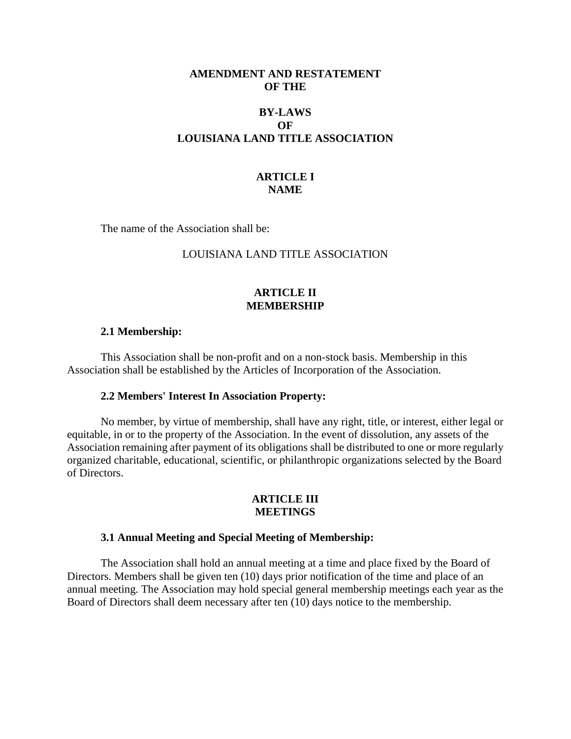# **AMENDMENT AND RESTATEMENT OF THE**

# **BY-LAWS OF LOUISIANA LAND TITLE ASSOCIATION**

# **ARTICLE I NAME**

The name of the Association shall be:

# LOUISIANA LAND TITLE ASSOCIATION

# **ARTICLE II MEMBERSHIP**

### **2.1 Membership:**

This Association shall be non-profit and on a non-stock basis. Membership in this Association shall be established by the Articles of Incorporation of the Association.

### **2.2 Members' Interest In Association Property:**

No member, by virtue of membership, shall have any right, title, or interest, either legal or equitable, in or to the property of the Association. In the event of dissolution, any assets of the Association remaining after payment of its obligations shall be distributed to one or more regularly organized charitable, educational, scientific, or philanthropic organizations selected by the Board of Directors.

# **ARTICLE III MEETINGS**

### **3.1 Annual Meeting and Special Meeting of Membership:**

The Association shall hold an annual meeting at a time and place fixed by the Board of Directors. Members shall be given ten (10) days prior notification of the time and place of an annual meeting. The Association may hold special general membership meetings each year as the Board of Directors shall deem necessary after ten (10) days notice to the membership.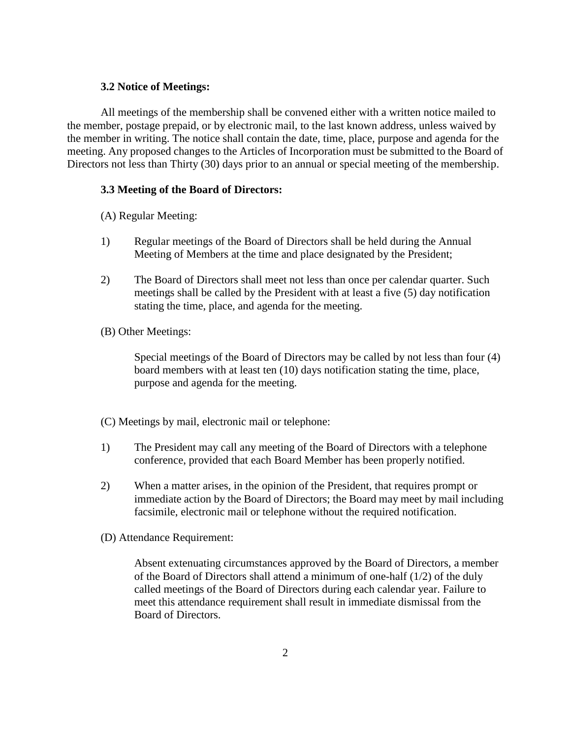## **3.2 Notice of Meetings:**

All meetings of the membership shall be convened either with a written notice mailed to the member, postage prepaid, or by electronic mail, to the last known address, unless waived by the member in writing. The notice shall contain the date, time, place, purpose and agenda for the meeting. Any proposed changes to the Articles of Incorporation must be submitted to the Board of Directors not less than Thirty (30) days prior to an annual or special meeting of the membership.

# **3.3 Meeting of the Board of Directors:**

(A) Regular Meeting:

- 1) Regular meetings of the Board of Directors shall be held during the Annual Meeting of Members at the time and place designated by the President;
- 2) The Board of Directors shall meet not less than once per calendar quarter. Such meetings shall be called by the President with at least a five (5) day notification stating the time, place, and agenda for the meeting.
- (B) Other Meetings:

Special meetings of the Board of Directors may be called by not less than four (4) board members with at least ten (10) days notification stating the time, place, purpose and agenda for the meeting.

- (C) Meetings by mail, electronic mail or telephone:
- 1) The President may call any meeting of the Board of Directors with a telephone conference, provided that each Board Member has been properly notified.
- 2) When a matter arises, in the opinion of the President, that requires prompt or immediate action by the Board of Directors; the Board may meet by mail including facsimile, electronic mail or telephone without the required notification.
- (D) Attendance Requirement:

Absent extenuating circumstances approved by the Board of Directors, a member of the Board of Directors shall attend a minimum of one-half  $(1/2)$  of the duly called meetings of the Board of Directors during each calendar year. Failure to meet this attendance requirement shall result in immediate dismissal from the Board of Directors.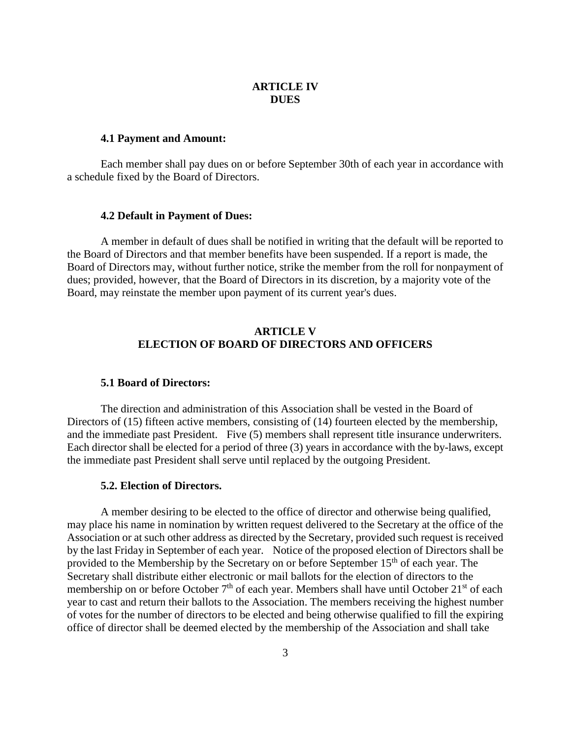# **ARTICLE IV DUES**

### **4.1 Payment and Amount:**

Each member shall pay dues on or before September 30th of each year in accordance with a schedule fixed by the Board of Directors.

#### **4.2 Default in Payment of Dues:**

A member in default of dues shall be notified in writing that the default will be reported to the Board of Directors and that member benefits have been suspended. If a report is made, the Board of Directors may, without further notice, strike the member from the roll for nonpayment of dues; provided, however, that the Board of Directors in its discretion, by a majority vote of the Board, may reinstate the member upon payment of its current year's dues.

# **ARTICLE V ELECTION OF BOARD OF DIRECTORS AND OFFICERS**

#### **5.1 Board of Directors:**

The direction and administration of this Association shall be vested in the Board of Directors of (15) fifteen active members, consisting of (14) fourteen elected by the membership, and the immediate past President. Five (5) members shall represent title insurance underwriters. Each director shall be elected for a period of three (3) years in accordance with the by-laws, except the immediate past President shall serve until replaced by the outgoing President.

#### **5.2. Election of Directors.**

A member desiring to be elected to the office of director and otherwise being qualified, may place his name in nomination by written request delivered to the Secretary at the office of the Association or at such other address as directed by the Secretary, provided such request is received by the last Friday in September of each year. Notice of the proposed election of Directors shall be provided to the Membership by the Secretary on or before September  $15<sup>th</sup>$  of each year. The Secretary shall distribute either electronic or mail ballots for the election of directors to the membership on or before October  $7<sup>th</sup>$  of each year. Members shall have until October  $21<sup>st</sup>$  of each year to cast and return their ballots to the Association. The members receiving the highest number of votes for the number of directors to be elected and being otherwise qualified to fill the expiring office of director shall be deemed elected by the membership of the Association and shall take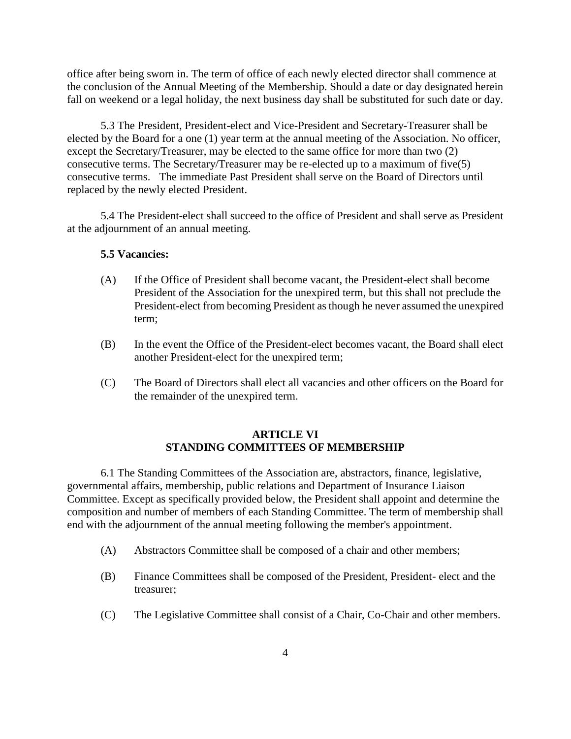office after being sworn in. The term of office of each newly elected director shall commence at the conclusion of the Annual Meeting of the Membership. Should a date or day designated herein fall on weekend or a legal holiday, the next business day shall be substituted for such date or day.

5.3 The President, President-elect and Vice-President and Secretary-Treasurer shall be elected by the Board for a one (1) year term at the annual meeting of the Association. No officer, except the Secretary/Treasurer, may be elected to the same office for more than two (2) consecutive terms. The Secretary/Treasurer may be re-elected up to a maximum of five(5) consecutive terms. The immediate Past President shall serve on the Board of Directors until replaced by the newly elected President.

5.4 The President-elect shall succeed to the office of President and shall serve as President at the adjournment of an annual meeting.

### **5.5 Vacancies:**

- (A) If the Office of President shall become vacant, the President-elect shall become President of the Association for the unexpired term, but this shall not preclude the President-elect from becoming President as though he never assumed the unexpired term;
- (B) In the event the Office of the President-elect becomes vacant, the Board shall elect another President-elect for the unexpired term;
- (C) The Board of Directors shall elect all vacancies and other officers on the Board for the remainder of the unexpired term.

# **ARTICLE VI STANDING COMMITTEES OF MEMBERSHIP**

6.1 The Standing Committees of the Association are, abstractors, finance, legislative, governmental affairs, membership, public relations and Department of Insurance Liaison Committee. Except as specifically provided below, the President shall appoint and determine the composition and number of members of each Standing Committee. The term of membership shall end with the adjournment of the annual meeting following the member's appointment.

- (A) Abstractors Committee shall be composed of a chair and other members;
- (B) Finance Committees shall be composed of the President, President- elect and the treasurer;
- (C) The Legislative Committee shall consist of a Chair, Co-Chair and other members.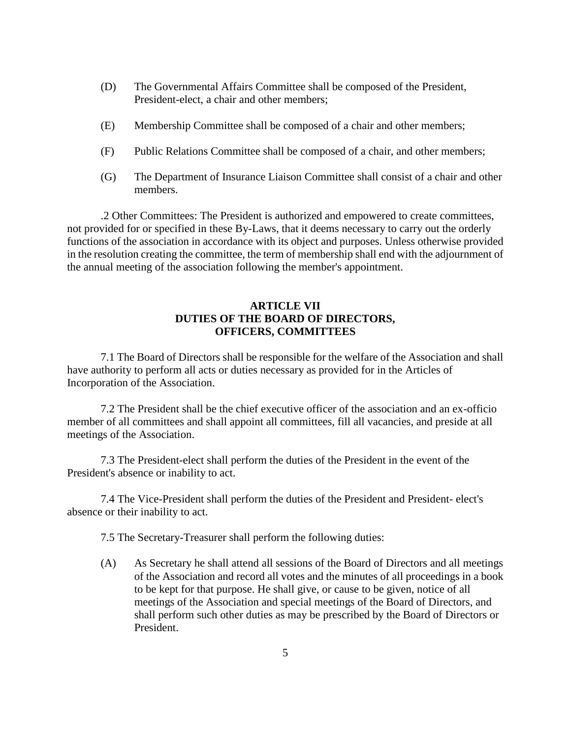- (D) The Governmental Affairs Committee shall be composed of the President, President-elect, a chair and other members;
- (E) Membership Committee shall be composed of a chair and other members;
- (F) Public Relations Committee shall be composed of a chair, and other members;
- (G) The Department of Insurance Liaison Committee shall consist of a chair and other members.

.2 Other Committees: The President is authorized and empowered to create committees, not provided for or specified in these By-Laws, that it deems necessary to carry out the orderly functions of the association in accordance with its object and purposes. Unless otherwise provided in the resolution creating the committee, the term of membership shall end with the adjournment of the annual meeting of the association following the member's appointment.

# **ARTICLE VII DUTIES OF THE BOARD OF DIRECTORS, OFFICERS, COMMITTEES**

7.1 The Board of Directors shall be responsible for the welfare of the Association and shall have authority to perform all acts or duties necessary as provided for in the Articles of Incorporation of the Association.

7.2 The President shall be the chief executive officer of the association and an ex-officio member of all committees and shall appoint all committees, fill all vacancies, and preside at all meetings of the Association.

7.3 The President-elect shall perform the duties of the President in the event of the President's absence or inability to act.

7.4 The Vice-President shall perform the duties of the President and President- elect's absence or their inability to act.

7.5 The Secretary-Treasurer shall perform the following duties:

(A) As Secretary he shall attend all sessions of the Board of Directors and all meetings of the Association and record all votes and the minutes of all proceedings in a book to be kept for that purpose. He shall give, or cause to be given, notice of all meetings of the Association and special meetings of the Board of Directors, and shall perform such other duties as may be prescribed by the Board of Directors or President.